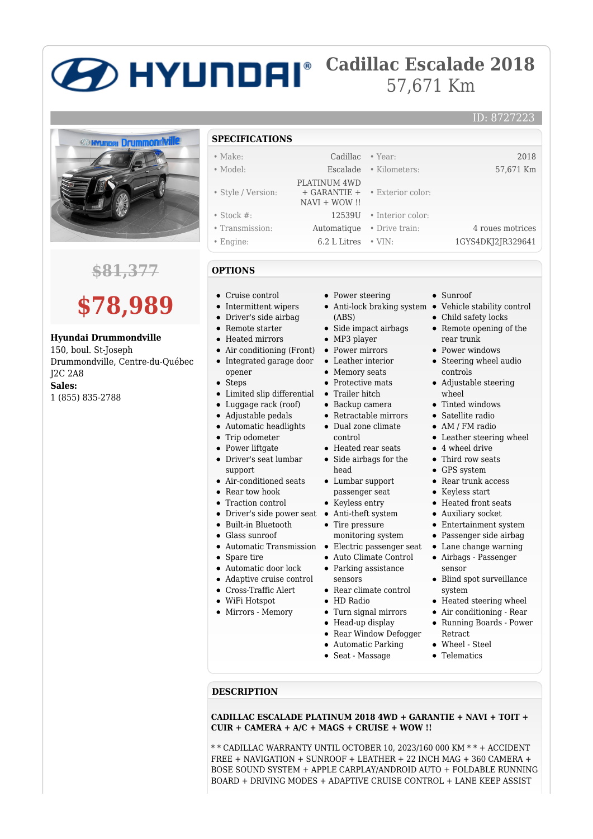## **Cadillac Escalade 2018** 57,671 Km



### **\$81,377**

# **\$78,989**

**Hyundai Drummondville**

150, boul. St-Joseph Drummondville, Centre-du-Québec J2C 2A8 **Sales:** 1 (855) 835-2788

### **SPECIFICATIONS**

- Make: Cadillac Year: 2018
- Model: Escalade Kilometers: 57,671 Km
- 
- Style / Version:
- Stock #: 12539U Interior color:
- Transmission: Automatique Drive train: 4 roues motrices
- Engine: 6.2 L Litres VIN: 1GYS4DKJ2JR329641
- **OPTIONS**
- Cruise control
- Intermittent wipers
- Driver's side airbag
- Remote starter
- Heated mirrors
- Air conditioning (Front)
- Integrated garage door
- opener
- $\bullet$ Steps
- Limited slip differential Trailer hitch
- Luggage rack (roof)
- Adjustable pedals
- Automatic headlights
- Trip odometer
- Power liftgate
- Driver's seat lumbar support
- Air-conditioned seats • Rear tow hook
- 
- Traction control
- Driver's side power seat Anti-theft system Built-in Bluetooth
- Glass sunroof
- 
- Spare tire
- Automatic door lock
- Adaptive cruise control
- Cross-Traffic Alert
- WiFi Hotspot

**DESCRIPTION**

Mirrors - Memory

- Power steering
- (ABS)

• Exterior color:

- Side impact airbags
- MP3 player

 PLATINUM 4WD + GARANTIE + NAVI + WOW !!

- Power mirrors
- Leather interior
- Memory seats
- Protective mats
- 
- Backup camera
- Retractable mirrors
- Dual zone climate control
- Heated rear seats
- Side airbags for the head
- Lumbar support passenger seat
- Keyless entry
- 
- Tire pressure
- monitoring system
- Automatic Transmission Electric passenger seat
	- Auto Climate Control • Parking assistance
	- sensors
	- Rear climate control
	- HD Radio

**CUIR + CAMERA + A/C + MAGS + CRUISE + WOW !!**

- Turn signal mirrors
- Head-up display
- Rear Window Defogger

**CADILLAC ESCALADE PLATINUM 2018 4WD + GARANTIE + NAVI + TOIT +**

\* \* CADILLAC WARRANTY UNTIL OCTOBER 10, 2023/160 000 KM \* \* + ACCIDENT FREE + NAVIGATION + SUNROOF + LEATHER + 22 INCH MAG + 360 CAMERA + BOSE SOUND SYSTEM + APPLE CARPLAY/ANDROID AUTO + FOLDABLE RUNNING BOARD + DRIVING MODES + ADAPTIVE CRUISE CONTROL + LANE KEEP ASSIST

- Automatic Parking
- Seat Massage
- Sunroof
- Anti-lock braking system Vehicle stability control

ID: 8727223

- Child safety locks
- Remote opening of the rear trunk
- Power windows
- Steering wheel audio controls
- Adjustable steering wheel
- Tinted windows
- Satellite radio
- AM / FM radio
- Leather steering wheel
- 4 wheel drive
- Third row seats
- GPS system
- Rear trunk access
- Keyless start
- Heated front seats
- Auxiliary socket
- Entertainment system
- Passenger side airbag
- Lane change warning
- Airbags Passenger sensor
- Blind spot surveillance system
- Heated steering wheel
- Air conditioning Rear Running Boards - Power
- Retract Wheel - Steel
- **•** Telematics
-